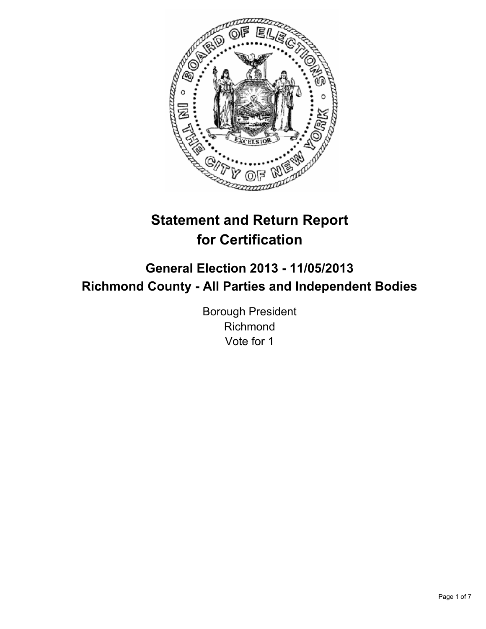

# **Statement and Return Report for Certification**

## **General Election 2013 - 11/05/2013 Richmond County - All Parties and Independent Bodies**

Borough President Richmond Vote for 1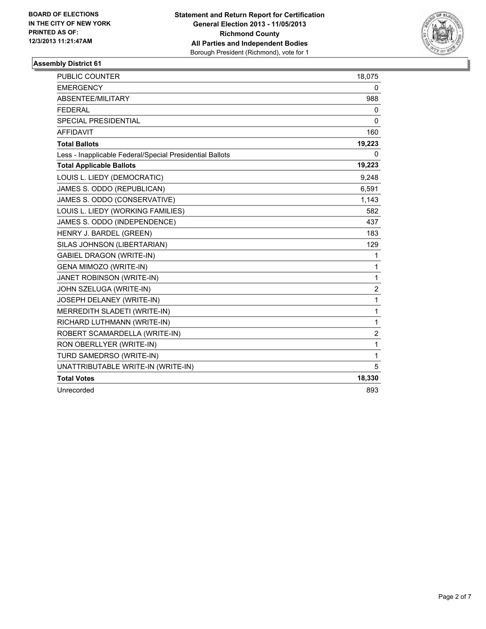

| <b>PUBLIC COUNTER</b>                                    | 18,075         |
|----------------------------------------------------------|----------------|
| <b>EMERGENCY</b>                                         | 0              |
| ABSENTEE/MILITARY                                        | 988            |
| <b>FEDERAL</b>                                           | 0              |
| <b>SPECIAL PRESIDENTIAL</b>                              | 0              |
| <b>AFFIDAVIT</b>                                         | 160            |
| <b>Total Ballots</b>                                     | 19,223         |
| Less - Inapplicable Federal/Special Presidential Ballots | 0              |
| <b>Total Applicable Ballots</b>                          | 19,223         |
| LOUIS L. LIEDY (DEMOCRATIC)                              | 9,248          |
| JAMES S. ODDO (REPUBLICAN)                               | 6,591          |
| JAMES S. ODDO (CONSERVATIVE)                             | 1,143          |
| LOUIS L. LIEDY (WORKING FAMILIES)                        | 582            |
| JAMES S. ODDO (INDEPENDENCE)                             | 437            |
| HENRY J. BARDEL (GREEN)                                  | 183            |
| SILAS JOHNSON (LIBERTARIAN)                              | 129            |
| <b>GABIEL DRAGON (WRITE-IN)</b>                          | 1              |
| GENA MIMOZO (WRITE-IN)                                   | 1              |
| JANET ROBINSON (WRITE-IN)                                | $\mathbf{1}$   |
| JOHN SZELUGA (WRITE-IN)                                  | $\overline{c}$ |
| JOSEPH DELANEY (WRITE-IN)                                | $\mathbf{1}$   |
| MERREDITH SLADETI (WRITE-IN)                             | $\mathbf 1$    |
| RICHARD LUTHMANN (WRITE-IN)                              | $\mathbf{1}$   |
| ROBERT SCAMARDELLA (WRITE-IN)                            | $\overline{2}$ |
| RON OBERLLYER (WRITE-IN)                                 | $\mathbf{1}$   |
| TURD SAMEDRSO (WRITE-IN)                                 | $\mathbf{1}$   |
| UNATTRIBUTABLE WRITE-IN (WRITE-IN)                       | 5              |
| <b>Total Votes</b>                                       | 18,330         |
| Unrecorded                                               | 893            |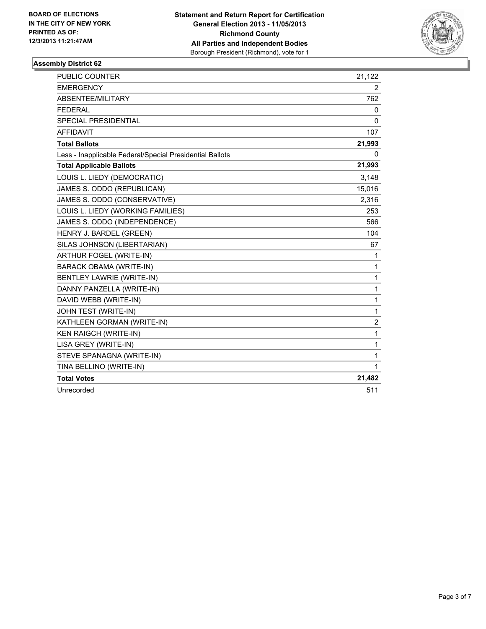

| <b>PUBLIC COUNTER</b>                                    | 21,122       |
|----------------------------------------------------------|--------------|
| <b>EMERGENCY</b>                                         | 2            |
| ABSENTEE/MILITARY                                        | 762          |
| <b>FEDERAL</b>                                           | 0            |
| <b>SPECIAL PRESIDENTIAL</b>                              | 0            |
| <b>AFFIDAVIT</b>                                         | 107          |
| <b>Total Ballots</b>                                     | 21,993       |
| Less - Inapplicable Federal/Special Presidential Ballots | 0            |
| <b>Total Applicable Ballots</b>                          | 21,993       |
| LOUIS L. LIEDY (DEMOCRATIC)                              | 3,148        |
| JAMES S. ODDO (REPUBLICAN)                               | 15,016       |
| JAMES S. ODDO (CONSERVATIVE)                             | 2,316        |
| LOUIS L. LIEDY (WORKING FAMILIES)                        | 253          |
| JAMES S. ODDO (INDEPENDENCE)                             | 566          |
| HENRY J. BARDEL (GREEN)                                  | 104          |
| SILAS JOHNSON (LIBERTARIAN)                              | 67           |
| ARTHUR FOGEL (WRITE-IN)                                  | $\mathbf 1$  |
| <b>BARACK OBAMA (WRITE-IN)</b>                           | $\mathbf{1}$ |
| <b>BENTLEY LAWRIE (WRITE-IN)</b>                         | $\mathbf{1}$ |
| DANNY PANZELLA (WRITE-IN)                                | $\mathbf{1}$ |
| DAVID WEBB (WRITE-IN)                                    | $\mathbf{1}$ |
| JOHN TEST (WRITE-IN)                                     | $\mathbf{1}$ |
| KATHLEEN GORMAN (WRITE-IN)                               | 2            |
| <b>KEN RAIGCH (WRITE-IN)</b>                             | 1            |
| LISA GREY (WRITE-IN)                                     | 1            |
| STEVE SPANAGNA (WRITE-IN)                                | $\mathbf{1}$ |
| TINA BELLINO (WRITE-IN)                                  | $\mathbf{1}$ |
| <b>Total Votes</b>                                       | 21,482       |
| Unrecorded                                               | 511          |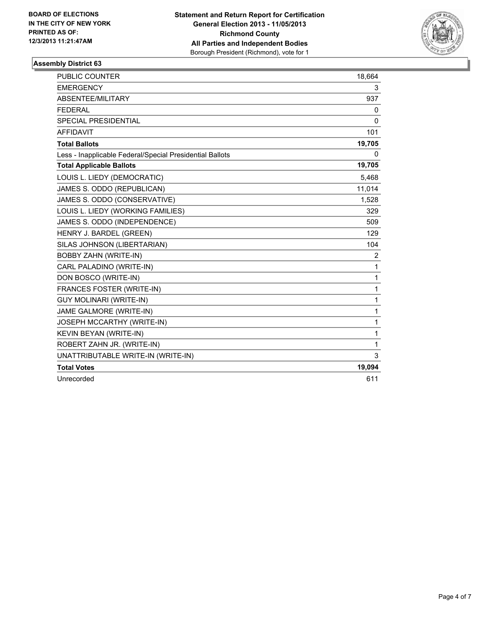

| <b>PUBLIC COUNTER</b>                                    | 18,664       |
|----------------------------------------------------------|--------------|
| <b>EMERGENCY</b>                                         | 3            |
| ABSENTEE/MILITARY                                        | 937          |
| <b>FEDERAL</b>                                           | 0            |
| <b>SPECIAL PRESIDENTIAL</b>                              | 0            |
| <b>AFFIDAVIT</b>                                         | 101          |
| <b>Total Ballots</b>                                     | 19,705       |
| Less - Inapplicable Federal/Special Presidential Ballots | 0            |
| <b>Total Applicable Ballots</b>                          | 19,705       |
| LOUIS L. LIEDY (DEMOCRATIC)                              | 5,468        |
| JAMES S. ODDO (REPUBLICAN)                               | 11,014       |
| JAMES S. ODDO (CONSERVATIVE)                             | 1,528        |
| LOUIS L. LIEDY (WORKING FAMILIES)                        | 329          |
| JAMES S. ODDO (INDEPENDENCE)                             | 509          |
| HENRY J. BARDEL (GREEN)                                  | 129          |
| SILAS JOHNSON (LIBERTARIAN)                              | 104          |
| <b>BOBBY ZAHN (WRITE-IN)</b>                             | 2            |
| CARL PALADINO (WRITE-IN)                                 | 1            |
| DON BOSCO (WRITE-IN)                                     | 1            |
| <b>FRANCES FOSTER (WRITE-IN)</b>                         | $\mathbf 1$  |
| <b>GUY MOLINARI (WRITE-IN)</b>                           | $\mathbf{1}$ |
| JAME GALMORE (WRITE-IN)                                  | $\mathbf{1}$ |
| JOSEPH MCCARTHY (WRITE-IN)                               | $\mathbf{1}$ |
| KEVIN BEYAN (WRITE-IN)                                   | 1            |
| ROBERT ZAHN JR. (WRITE-IN)                               | $\mathbf{1}$ |
| UNATTRIBUTABLE WRITE-IN (WRITE-IN)                       | 3            |
| <b>Total Votes</b>                                       | 19,094       |
| Unrecorded                                               | 611          |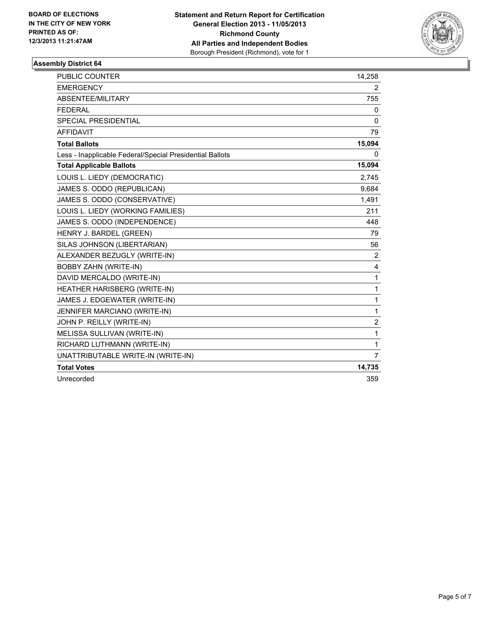

| <b>PUBLIC COUNTER</b>                                    | 14,258         |
|----------------------------------------------------------|----------------|
| <b>EMERGENCY</b>                                         | $\overline{2}$ |
| ABSENTEE/MILITARY                                        | 755            |
| <b>FEDERAL</b>                                           | 0              |
| <b>SPECIAL PRESIDENTIAL</b>                              | $\mathbf{0}$   |
| <b>AFFIDAVIT</b>                                         | 79             |
| <b>Total Ballots</b>                                     | 15,094         |
| Less - Inapplicable Federal/Special Presidential Ballots | 0              |
| <b>Total Applicable Ballots</b>                          | 15,094         |
| LOUIS L. LIEDY (DEMOCRATIC)                              | 2,745          |
| JAMES S. ODDO (REPUBLICAN)                               | 9,684          |
| JAMES S. ODDO (CONSERVATIVE)                             | 1,491          |
| LOUIS L. LIEDY (WORKING FAMILIES)                        | 211            |
| JAMES S. ODDO (INDEPENDENCE)                             | 448            |
| HENRY J. BARDEL (GREEN)                                  | 79             |
| SILAS JOHNSON (LIBERTARIAN)                              | 56             |
| ALEXANDER BEZUGLY (WRITE-IN)                             | $\overline{2}$ |
| <b>BOBBY ZAHN (WRITE-IN)</b>                             | 4              |
| DAVID MERCALDO (WRITE-IN)                                | $\mathbf 1$    |
| HEATHER HARISBERG (WRITE-IN)                             | 1              |
| JAMES J. EDGEWATER (WRITE-IN)                            | $\mathbf{1}$   |
| JENNIFER MARCIANO (WRITE-IN)                             | 1              |
| JOHN P. REILLY (WRITE-IN)                                | $\overline{2}$ |
| MELISSA SULLIVAN (WRITE-IN)                              | 1              |
| RICHARD LUTHMANN (WRITE-IN)                              | $\mathbf{1}$   |
| UNATTRIBUTABLE WRITE-IN (WRITE-IN)                       | $\overline{7}$ |
| <b>Total Votes</b>                                       | 14,735         |
| Unrecorded                                               | 359            |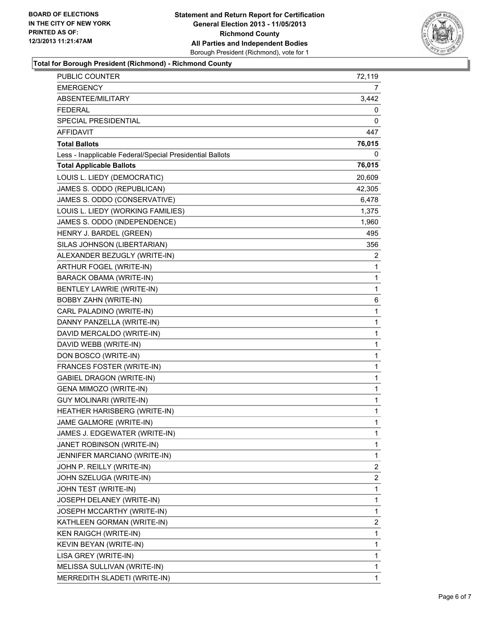

### **Total for Borough President (Richmond) - Richmond County**

| <b>PUBLIC COUNTER</b>                                    | 72,119       |
|----------------------------------------------------------|--------------|
| <b>EMERGENCY</b>                                         | 7            |
| ABSENTEE/MILITARY                                        | 3,442        |
| <b>FEDERAL</b>                                           | 0            |
| SPECIAL PRESIDENTIAL                                     | 0            |
| <b>AFFIDAVIT</b>                                         | 447          |
| <b>Total Ballots</b>                                     | 76,015       |
| Less - Inapplicable Federal/Special Presidential Ballots | 0            |
| <b>Total Applicable Ballots</b>                          | 76,015       |
| LOUIS L. LIEDY (DEMOCRATIC)                              | 20,609       |
| JAMES S. ODDO (REPUBLICAN)                               | 42,305       |
| JAMES S. ODDO (CONSERVATIVE)                             | 6,478        |
| LOUIS L. LIEDY (WORKING FAMILIES)                        | 1,375        |
| JAMES S. ODDO (INDEPENDENCE)                             | 1,960        |
| HENRY J. BARDEL (GREEN)                                  | 495          |
| SILAS JOHNSON (LIBERTARIAN)                              | 356          |
| ALEXANDER BEZUGLY (WRITE-IN)                             | 2            |
| ARTHUR FOGEL (WRITE-IN)                                  | 1            |
| BARACK OBAMA (WRITE-IN)                                  | 1            |
| <b>BENTLEY LAWRIE (WRITE-IN)</b>                         | 1            |
| <b>BOBBY ZAHN (WRITE-IN)</b>                             | 6            |
| CARL PALADINO (WRITE-IN)                                 | 1            |
| DANNY PANZELLA (WRITE-IN)                                | 1            |
| DAVID MERCALDO (WRITE-IN)                                | 1            |
| DAVID WEBB (WRITE-IN)                                    | 1            |
| DON BOSCO (WRITE-IN)                                     | $\mathbf{1}$ |
| FRANCES FOSTER (WRITE-IN)                                | 1            |
| <b>GABIEL DRAGON (WRITE-IN)</b>                          | 1            |
| <b>GENA MIMOZO (WRITE-IN)</b>                            | $\mathbf{1}$ |
| <b>GUY MOLINARI (WRITE-IN)</b>                           | 1            |
| HEATHER HARISBERG (WRITE-IN)                             | 1            |
| JAME GALMORE (WRITE-IN)                                  | 1            |
| JAMES J. EDGEWATER (WRITE-IN)                            | 1            |
| JANET ROBINSON (WRITE-IN)                                | 1            |
| JENNIFER MARCIANO (WRITE-IN)                             | 1            |
| JOHN P. REILLY (WRITE-IN)                                | 2            |
| JOHN SZELUGA (WRITE-IN)                                  | 2            |
| JOHN TEST (WRITE-IN)                                     | 1            |
| JOSEPH DELANEY (WRITE-IN)                                | 1            |
| JOSEPH MCCARTHY (WRITE-IN)                               | 1            |
| KATHLEEN GORMAN (WRITE-IN)                               | 2            |
| KEN RAIGCH (WRITE-IN)                                    | 1            |
| KEVIN BEYAN (WRITE-IN)                                   | 1            |
| LISA GREY (WRITE-IN)                                     | $\mathbf{1}$ |
| MELISSA SULLIVAN (WRITE-IN)                              | 1            |
| MERREDITH SLADETI (WRITE-IN)                             | 1            |